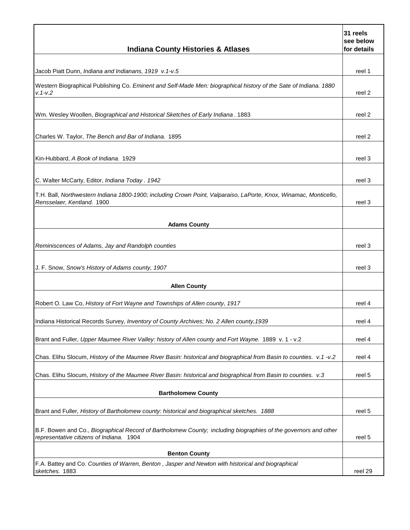| <b>Indiana County Histories &amp; Atlases</b>                                                                                                               | 31 reels<br>see below<br>for details |
|-------------------------------------------------------------------------------------------------------------------------------------------------------------|--------------------------------------|
|                                                                                                                                                             |                                      |
| Jacob Piatt Dunn, Indiana and Indianans, 1919 v.1-v.5                                                                                                       | reel 1                               |
| Western Biographical Publishing Co. Eminent and Self-Made Men: biographical history of the Sate of Indiana. 1880<br>$v. 1 - v. 2$                           | reel 2                               |
|                                                                                                                                                             |                                      |
| Wm. Wesley Woollen, Biographical and Historical Sketches of Early Indiana. 1883                                                                             | reel 2                               |
| Charles W. Taylor, The Bench and Bar of Indiana. 1895                                                                                                       | reel 2                               |
|                                                                                                                                                             |                                      |
| Kin-Hubbard, A Book of Indiana. 1929                                                                                                                        | reel 3                               |
| C. Walter McCarty, Editor, Indiana Today. 1942                                                                                                              | reel 3                               |
| T.H. Ball, Northwestern Indiana 1800-1900; including Crown Point, Valparaiso, LaPorte, Knox, Winamac, Monticello,<br>Rensselaer, Kentland. 1900             | reel 3                               |
|                                                                                                                                                             |                                      |
| <b>Adams County</b>                                                                                                                                         |                                      |
| Reminiscences of Adams, Jay and Randolph counties                                                                                                           | reel 3                               |
| J. F. Snow, Snow's History of Adams county, 1907                                                                                                            | reel 3                               |
|                                                                                                                                                             |                                      |
| <b>Allen County</b>                                                                                                                                         |                                      |
| Robert O. Law Co, History of Fort Wayne and Townships of Allen county, 1917                                                                                 | reel 4                               |
| Indiana Historical Records Survey, Inventory of County Archives; No. 2 Allen county, 1939                                                                   | reel 4                               |
| Brant and Fuller, Upper Maumee River Valley: history of Allen county and Fort Wayne. 1889 v. 1 - v.2                                                        | reel 4                               |
| Chas. Elihu Slocum, History of the Maumee River Basin: historical and biographical from Basin to counties. v.1 -v.2                                         | reel 4                               |
| Chas. Elihu Slocum, History of the Maumee River Basin: historical and biographical from Basin to counties. v.3                                              | reel 5                               |
|                                                                                                                                                             |                                      |
| <b>Bartholomew County</b>                                                                                                                                   |                                      |
| Brant and Fuller, History of Bartholomew county: historical and biographical sketches. 1888                                                                 | reel 5                               |
| B.F. Bowen and Co., Biographical Record of Bartholomew County; including biographies of the governors and other<br>representative citizens of Indiana. 1904 | reel 5                               |
| <b>Benton County</b>                                                                                                                                        |                                      |
| F.A. Battey and Co. Counties of Warren, Benton, Jasper and Newton with historical and biographical<br>sketches. 1883                                        | reel 29                              |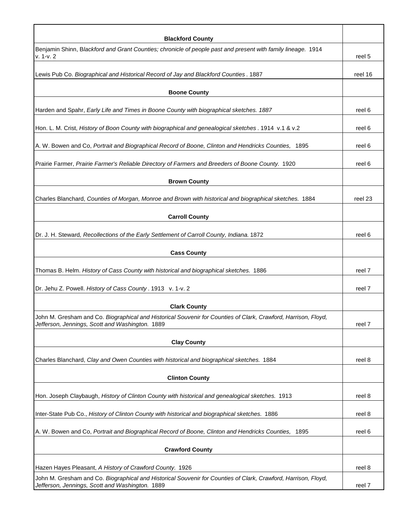| <b>Blackford County</b>                                                                                                                                           |         |
|-------------------------------------------------------------------------------------------------------------------------------------------------------------------|---------|
| Benjamin Shinn, Blackford and Grant Counties; chronicle of people past and present with family lineage. 1914<br>$v. 1-v. 2$                                       | reel 5  |
| Lewis Pub Co. Biographical and Historical Record of Jay and Blackford Counties. 1887                                                                              | reel 16 |
| <b>Boone County</b>                                                                                                                                               |         |
| Harden and Spahr, Early Life and Times in Boone County with biographical sketches. 1887                                                                           | reel 6  |
| Hon. L. M. Crist, History of Boon County with biographical and genealogical sketches . 1914 v.1 & v.2                                                             | reel 6  |
| A. W. Bowen and Co, Portrait and Biographical Record of Boone, Clinton and Hendricks Counties, 1895                                                               | reel 6  |
| Prairie Farmer, Prairie Farmer's Reliable Directory of Farmers and Breeders of Boone County. 1920                                                                 | reel 6  |
| <b>Brown County</b>                                                                                                                                               |         |
| Charles Blanchard, Counties of Morgan, Monroe and Brown with historical and biographical sketches. 1884                                                           | reel 23 |
| <b>Carroll County</b>                                                                                                                                             |         |
| Dr. J. H. Steward, Recollections of the Early Settlement of Carroll County, Indiana. 1872                                                                         | reel 6  |
| <b>Cass County</b>                                                                                                                                                |         |
| Thomas B. Helm. History of Cass County with historical and biographical sketches. 1886                                                                            | reel 7  |
| Dr. Jehu Z. Powell. History of Cass County. 1913 v. 1-v. 2                                                                                                        | reel 7  |
| <b>Clark County</b>                                                                                                                                               |         |
| John M. Gresham and Co. Biographical and Historical Souvenir for Counties of Clark, Crawford, Harrison, Floyd,<br>Jefferson, Jennings, Scott and Washington. 1889 | reel 7  |
| <b>Clay County</b>                                                                                                                                                |         |
| Charles Blanchard, Clay and Owen Counties with historical and biographical sketches. 1884                                                                         | reel 8  |
| <b>Clinton County</b>                                                                                                                                             |         |
| Hon. Joseph Claybaugh, History of Clinton County with historical and genealogical sketches. 1913                                                                  | reel 8  |
| Inter-State Pub Co., History of Clinton County with historical and biographical sketches. 1886                                                                    | reel 8  |
| A. W. Bowen and Co, Portrait and Biographical Record of Boone, Clinton and Hendricks Counties, 1895                                                               | reel 6  |
| <b>Crawford County</b>                                                                                                                                            |         |
| Hazen Hayes Pleasant, A History of Crawford County. 1926                                                                                                          | reel 8  |
| John M. Gresham and Co. Biographical and Historical Souvenir for Counties of Clark, Crawford, Harrison, Floyd,<br>Jefferson, Jennings, Scott and Washington. 1889 | reel 7  |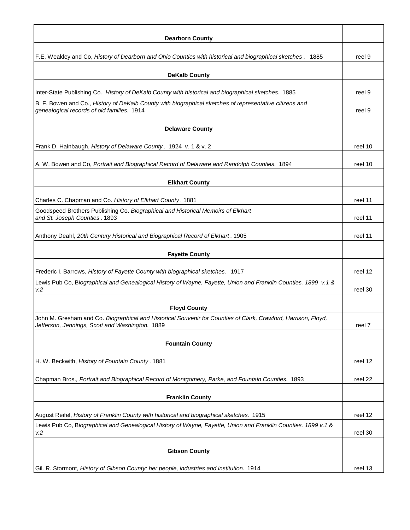| <b>Dearborn County</b>                                                                                                                                            |         |
|-------------------------------------------------------------------------------------------------------------------------------------------------------------------|---------|
| F.E. Weakley and Co, History of Dearborn and Ohio Counties with historical and biographical sketches. 1885                                                        | reel 9  |
| <b>DeKalb County</b>                                                                                                                                              |         |
|                                                                                                                                                                   |         |
| Inter-State Publishing Co., History of DeKalb County with historical and biographical sketches. 1885                                                              | reel 9  |
| B. F. Bowen and Co., History of DeKalb County with biographical sketches of representative citizens and<br>genealogical records of old families. 1914             | reel 9  |
| <b>Delaware County</b>                                                                                                                                            |         |
| Frank D. Hainbaugh, History of Delaware County. 1924 v. 1 & v. 2                                                                                                  | reel 10 |
| A. W. Bowen and Co, Portrait and Biographical Record of Delaware and Randolph Counties. 1894                                                                      | reel 10 |
| <b>Elkhart County</b>                                                                                                                                             |         |
|                                                                                                                                                                   |         |
| Charles C. Chapman and Co. History of Elkhart County. 1881                                                                                                        | reel 11 |
| Goodspeed Brothers Publishing Co. Biographical and Historical Memoirs of Elkhart<br>and St. Joseph Counties. 1893                                                 | reel 11 |
| Anthony Deahl, 20th Century Historical and Biographical Record of Elkhart. 1905                                                                                   | reel 11 |
| <b>Fayette County</b>                                                                                                                                             |         |
| Frederic I. Barrows, History of Fayette County with biographical sketches. 1917                                                                                   | reel 12 |
| Lewis Pub Co, Biographical and Genealogical History of Wayne, Fayette, Union and Franklin Counties. 1899 v.1 &<br>v.2                                             | reel 30 |
| <b>Floyd County</b>                                                                                                                                               |         |
| John M. Gresham and Co. Biographical and Historical Souvenir for Counties of Clark, Crawford, Harrison, Floyd,<br>Jefferson, Jennings, Scott and Washington. 1889 | reel 7  |
|                                                                                                                                                                   |         |
| <b>Fountain County</b>                                                                                                                                            |         |
| H. W. Beckwith, History of Fountain County. 1881                                                                                                                  | reel 12 |
| Chapman Bros., Portrait and Biographical Record of Montgomery, Parke, and Fountain Counties. 1893                                                                 | reel 22 |
| <b>Franklin County</b>                                                                                                                                            |         |
|                                                                                                                                                                   |         |
| August Reifel, History of Franklin County with historical and biographical sketches. 1915                                                                         | reel 12 |
| Lewis Pub Co, Biographical and Genealogical History of Wayne, Fayette, Union and Franklin Counties. 1899 v.1 &<br>V.2                                             | reel 30 |
| <b>Gibson County</b>                                                                                                                                              |         |
|                                                                                                                                                                   |         |
| Gil. R. Stormont, History of Gibson County: her people, industries and institution. 1914                                                                          | reel 13 |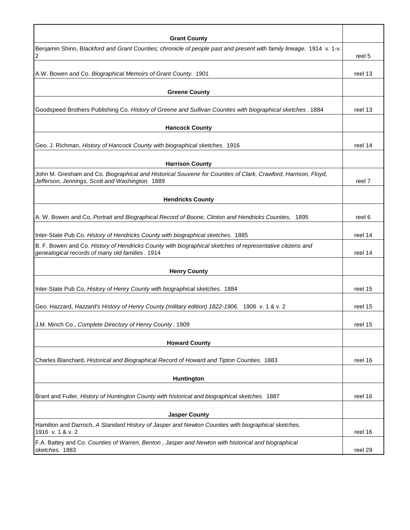| <b>Grant County</b><br>Benjamin Shinn, Blackford and Grant Counties; chronicle of people past and present with family lineage. 1914 v. 1-v.<br>2                  | reel 5  |
|-------------------------------------------------------------------------------------------------------------------------------------------------------------------|---------|
| A.W. Bowen and Co. Biographical Memoirs of Grant County. 1901                                                                                                     | reel 13 |
| <b>Greene County</b>                                                                                                                                              |         |
| Goodspeed Brothers Publishing Co. History of Greene and Sullivan Counties with biographical sketches. 1884                                                        | reel 13 |
| <b>Hancock County</b>                                                                                                                                             |         |
| Geo. J. Richman, History of Hancock County with biographical sketches. 1916                                                                                       | reel 14 |
| <b>Harrison County</b>                                                                                                                                            |         |
| John M. Gresham and Co. Biographical and Historical Souvenir for Counties of Clark, Crawford, Harrison, Floyd,<br>Jefferson, Jennings, Scott and Washington. 1889 | reel 7  |
| <b>Hendricks County</b>                                                                                                                                           |         |
| A. W. Bowen and Co, Portrait and Biographical Record of Boone, Clinton and Hendricks Counties, 1895                                                               | reel 6  |
| Inter-State Pub Co. History of Hendricks County with biographical sketches. 1885                                                                                  | reel 14 |
| B. F. Bowen and Co. History of Hendricks County with biographical sketches of representative citizens and<br>genealogical records of many old families. 1914      | reel 14 |
| <b>Henry County</b>                                                                                                                                               |         |
| Inter-State Pub Co, History of Henry County with biographical sketches. 1884                                                                                      | reel 15 |
| Geo. Hazzard, Hazzard's History of Henry County.(military edition) 1822-1906. 1906 v. 1 & v. 2                                                                    | reel 15 |
| J.M. Minch Co., Complete Directory of Henry County. 1909                                                                                                          | reel 15 |
| <b>Howard County</b>                                                                                                                                              |         |
| Charles Blanchard, Historical and Biographical Record of Howard and Tipton Counties. 1883                                                                         | reel 16 |
| Huntington                                                                                                                                                        |         |
| Brant and Fuller, History of Huntington County with historical and biographical sketches. 1887                                                                    | reel 16 |
| <b>Jasper County</b>                                                                                                                                              |         |
| Hamilton and Darroch, A Standard History of Jasper and Newton Counties with biographical sketches.<br>1916 v. 1 & v. 2                                            | reel 16 |
| F.A. Battey and Co. Counties of Warren, Benton, Jasper and Newton with historical and biographical<br>sketches. 1883                                              | reel 29 |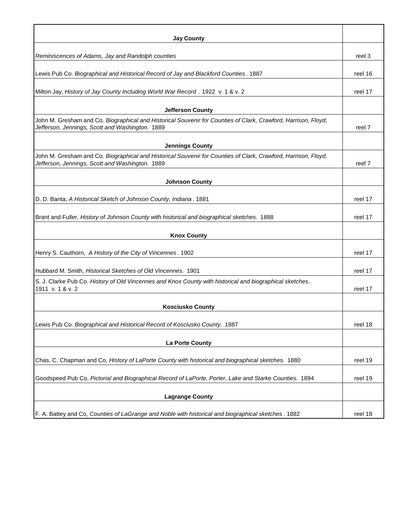| <b>Jay County</b>                                                                                                                                                 |         |
|-------------------------------------------------------------------------------------------------------------------------------------------------------------------|---------|
| Reminiscences of Adams, Jay and Randolph counties                                                                                                                 | reel 3  |
|                                                                                                                                                                   |         |
| Lewis Pub Co. Biographical and Historical Record of Jay and Blackford Counties. 1887                                                                              | reel 16 |
| Milton Jay, History of Jay County Including World War Record . 1922 v. 1 & v. 2                                                                                   | reel 17 |
| <b>Jefferson County</b>                                                                                                                                           |         |
| John M. Gresham and Co. Biographical and Historical Souvenir for Counties of Clark, Crawford, Harrison, Floyd,<br>Jefferson, Jennings, Scott and Washington. 1889 | reel 7  |
| <b>Jennings County</b>                                                                                                                                            |         |
| John M. Gresham and Co. Biographical and Historical Souvenir for Counties of Clark, Crawford, Harrison, Floyd,<br>Jefferson, Jennings, Scott and Washington. 1889 | reel 7  |
| <b>Johnson County</b>                                                                                                                                             |         |
|                                                                                                                                                                   |         |
| D. D. Banta, A Historical Sketch of Johnson County, Indiana. 1881                                                                                                 | reel 17 |
| Brant and Fuller, History of Johnson County with historical and biographical sketches. 1888                                                                       | reel 17 |
| <b>Knox County</b>                                                                                                                                                |         |
| Henry S. Cauthorn, A History of the City of Vincennes. 1902                                                                                                       | reel 17 |
| Hubbard M. Smith, Historical Sketches of Old Vincennes. 1901                                                                                                      | reel 17 |
| S. J. Clarke Pub Co. History of Old Vincennes and Knox County with historical and biographical sketches.                                                          |         |
| 1911 v. 1 & v. 2                                                                                                                                                  | reel 17 |
| <b>Kosciusko County</b>                                                                                                                                           |         |
| Lewis Pub Co. Biographical and Historical Record of Kosciusko County. 1887                                                                                        | reel 18 |
| La Porte County                                                                                                                                                   |         |
|                                                                                                                                                                   |         |
| Chas. C. Chapman and Co, History of LaPorte County with historical and biographical sketches. 1880                                                                | reel 19 |
| Goodspeed Pub Co, Pictorial and Biographical Record of LaPorte, Porter, Lake and Starke Counties. 1894                                                            | reel 19 |
| <b>Lagrange County</b>                                                                                                                                            |         |
|                                                                                                                                                                   |         |
| F. A. Battey and Co, Counties of LaGrange and Noble with historical and biographical sketches. 1882                                                               | reel 18 |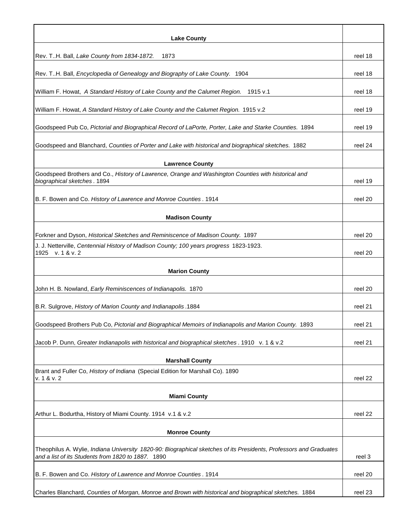| <b>Lake County</b>                                                                                                                                                       |         |
|--------------------------------------------------------------------------------------------------------------------------------------------------------------------------|---------|
| Rev. TH. Ball, Lake County from 1834-1872.<br>1873                                                                                                                       | reel 18 |
| Rev. TH. Ball, Encyclopedia of Genealogy and Biography of Lake County. 1904                                                                                              | reel 18 |
| William F. Howat, A Standard History of Lake County and the Calumet Region.<br>1915 v.1                                                                                  | reel 18 |
| William F. Howat, A Standard History of Lake County and the Calumet Region. 1915 v.2                                                                                     | reel 19 |
| Goodspeed Pub Co, Pictorial and Biographical Record of LaPorte, Porter, Lake and Starke Counties. 1894                                                                   | reel 19 |
| Goodspeed and Blanchard, Counties of Porter and Lake with historical and biographical sketches. 1882                                                                     | reel 24 |
| <b>Lawrence County</b>                                                                                                                                                   |         |
| Goodspeed Brothers and Co., History of Lawrence, Orange and Washington Counties with historical and<br>biographical sketches. 1894                                       | reel 19 |
| B. F. Bowen and Co. History of Lawrence and Monroe Counties. 1914                                                                                                        | reel 20 |
| <b>Madison County</b>                                                                                                                                                    |         |
| Forkner and Dyson, Historical Sketches and Reminiscence of Madison County. 1897                                                                                          | reel 20 |
| J. J. Netterville, Centennial History of Madison County; 100 years progress 1823-1923.<br>1925 v. 1 & v. 2                                                               | reel 20 |
| <b>Marion County</b>                                                                                                                                                     |         |
| John H. B. Nowland, Early Reminiscences of Indianapolis. 1870                                                                                                            | reel 20 |
| B.R. Sulgrove, History of Marion County and Indianapolis .1884                                                                                                           | reel 21 |
| Goodspeed Brothers Pub Co, Pictorial and Biographical Memoirs of Indianapolis and Marion County. 1893                                                                    | reel 21 |
| Jacob P. Dunn, Greater Indianapolis with historical and biographical sketches . 1910 v. 1 & v.2                                                                          | reel 21 |
| <b>Marshall County</b>                                                                                                                                                   |         |
| Brant and Fuller Co, History of Indiana (Special Edition for Marshall Co). 1890<br>v. 1 & v. 2                                                                           | reel 22 |
| <b>Miami County</b>                                                                                                                                                      |         |
| Arthur L. Bodurtha, History of Miami County. 1914 v.1 & v.2                                                                                                              | reel 22 |
| <b>Monroe County</b>                                                                                                                                                     |         |
| Theophilus A. Wylie, Indiana University 1820-90: Biographical sketches of its Presidents, Professors and Graduates<br>and a list of its Students from 1820 to 1887. 1890 | reel 3  |
| B. F. Bowen and Co. History of Lawrence and Monroe Counties. 1914                                                                                                        | reel 20 |
| Charles Blanchard, Counties of Morgan, Monroe and Brown with historical and biographical sketches. 1884                                                                  | reel 23 |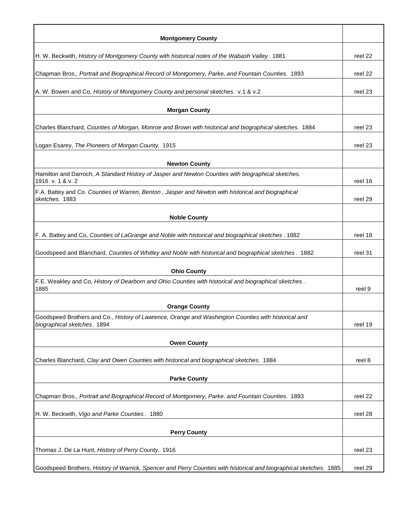| <b>Montgomery County</b>                                                                                                    |         |
|-----------------------------------------------------------------------------------------------------------------------------|---------|
| H. W. Beckwith, History of Montgomery County with historical notes of the Wabash Valley. 1881                               | reel 22 |
| Chapman Bros., Portrait and Biographical Record of Montgomery, Parke, and Fountain Counties. 1893                           | reel 22 |
| A. W. Bowen and Co, History of Montgomery County and personal sketches. v.1 & v.2                                           | reel 23 |
|                                                                                                                             |         |
| <b>Morgan County</b>                                                                                                        |         |
| Charles Blanchard, Counties of Morgan, Monroe and Brown with historical and biographical sketches. 1884                     | reel 23 |
| Logan Esarey, The Pioneers of Morgan County. 1915                                                                           | reel 23 |
| <b>Newton County</b>                                                                                                        |         |
| Hamilton and Darroch, A Standard History of Jasper and Newton Counties with biographical sketches.<br>1916 v. 1 & v. 2      | reel 16 |
| F.A. Battey and Co. Counties of Warren, Benton, Jasper and Newton with historical and biographical<br>sketches. 1883        | reel 29 |
| <b>Noble County</b>                                                                                                         |         |
|                                                                                                                             |         |
| F. A. Battey and Co, Counties of LaGrange and Noble with historical and biographical sketches . 1882                        | reel 18 |
| Goodspeed and Blanchard, Counties of Whitley and Noble with historical and biographical sketches. 1882                      | reel 31 |
| <b>Ohio County</b>                                                                                                          |         |
| F.E. Weakley and Co, History of Dearborn and Ohio Counties with historical and biographical sketches.<br>1885               | reel 9  |
|                                                                                                                             |         |
| <b>Orange County</b><br>Goodspeed Brothers and Co., History of Lawrence, Orange and Washington Counties with historical and |         |
| biographical sketches. 1894                                                                                                 | reel 19 |
| <b>Owen County</b>                                                                                                          |         |
| Charles Blanchard, Clay and Owen Counties with historical and biographical sketches. 1884                                   | reel 8  |
| <b>Parke County</b>                                                                                                         |         |
| Chapman Bros., Portrait and Biographical Record of Montgomery, Parke, and Fountain Counties. 1893                           | reel 22 |
|                                                                                                                             |         |
| H. W. Beckwith, Vigo and Parke Counties. 1880                                                                               | reel 28 |
| <b>Perry County</b>                                                                                                         |         |
| Thomas J. De La Hunt, History of Perry County. 1916                                                                         | reel 23 |
| Goodspeed Brothers, History of Warrick, Spencer and Perry Counties with historical and biographical sketches. 1885          | reel 29 |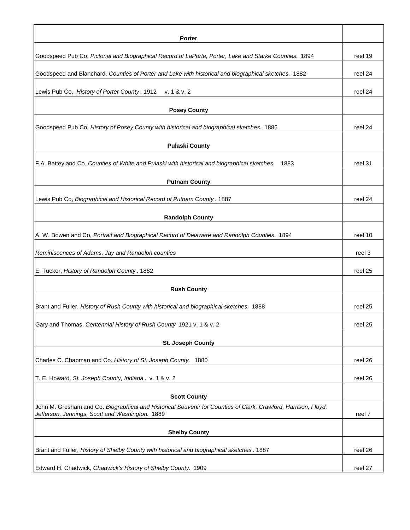| <b>Porter</b>                                                                                                                                                     |         |
|-------------------------------------------------------------------------------------------------------------------------------------------------------------------|---------|
| Goodspeed Pub Co, Pictorial and Biographical Record of LaPorte, Porter, Lake and Starke Counties. 1894                                                            | reel 19 |
| Goodspeed and Blanchard, Counties of Porter and Lake with historical and biographical sketches. 1882                                                              | reel 24 |
| Lewis Pub Co., History of Porter County. 1912<br>v. 1 & v. 2                                                                                                      | reel 24 |
| <b>Posey County</b>                                                                                                                                               |         |
| Goodspeed Pub Co, History of Posey County with historical and biographical sketches. 1886                                                                         | reel 24 |
|                                                                                                                                                                   |         |
| <b>Pulaski County</b>                                                                                                                                             |         |
| F.A. Battey and Co. Counties of White and Pulaski with historical and biographical sketches.<br>1883                                                              | reel 31 |
| <b>Putnam County</b>                                                                                                                                              |         |
| Lewis Pub Co, Biographical and Historical Record of Putnam County. 1887                                                                                           | reel 24 |
| <b>Randolph County</b>                                                                                                                                            |         |
| A. W. Bowen and Co, Portrait and Biographical Record of Delaware and Randolph Counties. 1894                                                                      | reel 10 |
| Reminiscences of Adams, Jay and Randolph counties                                                                                                                 | reel 3  |
| E. Tucker, History of Randolph County. 1882                                                                                                                       | reel 25 |
| <b>Rush County</b>                                                                                                                                                |         |
| Brant and Fuller, History of Rush County with historical and biographical sketches. 1888                                                                          | reel 25 |
| Gary and Thomas, Centennial History of Rush County 1921 v. 1 & v. 2                                                                                               | reel 25 |
| <b>St. Joseph County</b>                                                                                                                                          |         |
| Charles C. Chapman and Co. History of St. Joseph County. 1880                                                                                                     | reel 26 |
|                                                                                                                                                                   |         |
| T. E. Howard. St. Joseph County, Indiana. v. 1 & v. 2                                                                                                             | reel 26 |
| <b>Scott County</b>                                                                                                                                               |         |
| John M. Gresham and Co. Biographical and Historical Souvenir for Counties of Clark, Crawford, Harrison, Floyd,<br>Jefferson, Jennings, Scott and Washington. 1889 | reel 7  |
| <b>Shelby County</b>                                                                                                                                              |         |
| Brant and Fuller, History of Shelby County with historical and biographical sketches. 1887                                                                        | reel 26 |
| Edward H. Chadwick, Chadwick's History of Shelby County. 1909                                                                                                     | reel 27 |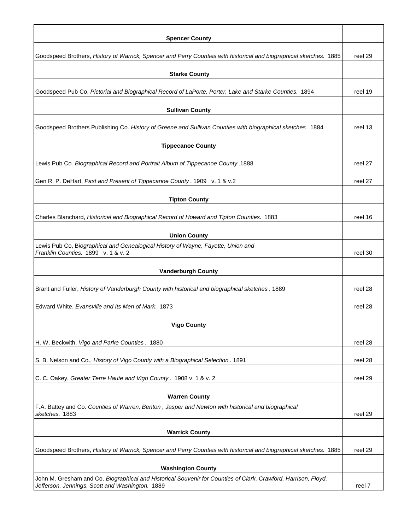| <b>Spencer County</b>                                                                                                                      |         |
|--------------------------------------------------------------------------------------------------------------------------------------------|---------|
|                                                                                                                                            |         |
| Goodspeed Brothers, History of Warrick, Spencer and Perry Counties with historical and biographical sketches. 1885                         | reel 29 |
| <b>Starke County</b>                                                                                                                       |         |
| Goodspeed Pub Co, Pictorial and Biographical Record of LaPorte, Porter, Lake and Starke Counties. 1894                                     | reel 19 |
| <b>Sullivan County</b>                                                                                                                     |         |
| Goodspeed Brothers Publishing Co. History of Greene and Sullivan Counties with biographical sketches. 1884                                 | reel 13 |
| <b>Tippecanoe County</b>                                                                                                                   |         |
|                                                                                                                                            |         |
| Lewis Pub Co. Biographical Record and Portrait Album of Tippecanoe County .1888                                                            | reel 27 |
| Gen R. P. DeHart, Past and Present of Tippecanoe County. 1909 v. 1 & v.2                                                                   | reel 27 |
| <b>Tipton County</b>                                                                                                                       |         |
| Charles Blanchard, Historical and Biographical Record of Howard and Tipton Counties. 1883                                                  | reel 16 |
| <b>Union County</b>                                                                                                                        |         |
| Lewis Pub Co, Biographical and Genealogical History of Wayne, Fayette, Union and<br>Franklin Counties. 1899 v. 1 & v. 2                    | reel 30 |
| <b>Vanderburgh County</b>                                                                                                                  |         |
| Brant and Fuller, History of Vanderburgh County with historical and biographical sketches. 1889                                            | reel 28 |
| Edward White, Evansville and Its Men of Mark. 1873                                                                                         | reel 28 |
| <b>Vigo County</b>                                                                                                                         |         |
| H. W. Beckwith, Vigo and Parke Counties. 1880                                                                                              | reel 28 |
| S. B. Nelson and Co., History of Vigo County with a Biographical Selection. 1891                                                           | reel 28 |
| C. C. Oakey, Greater Terre Haute and Vigo County. 1908 v. 1 & v. 2                                                                         | reel 29 |
| <b>Warren County</b>                                                                                                                       |         |
| F.A. Battey and Co. Counties of Warren, Benton, Jasper and Newton with historical and biographical<br>sketches. 1883                       | reel 29 |
| <b>Warrick County</b>                                                                                                                      |         |
| Goodspeed Brothers, History of Warrick, Spencer and Perry Counties with historical and biographical sketches. 1885                         | reel 29 |
|                                                                                                                                            |         |
| <b>Washington County</b><br>John M. Gresham and Co. Biographical and Historical Souvenir for Counties of Clark, Crawford, Harrison, Floyd, |         |
| Jefferson, Jennings, Scott and Washington. 1889                                                                                            | reel 7  |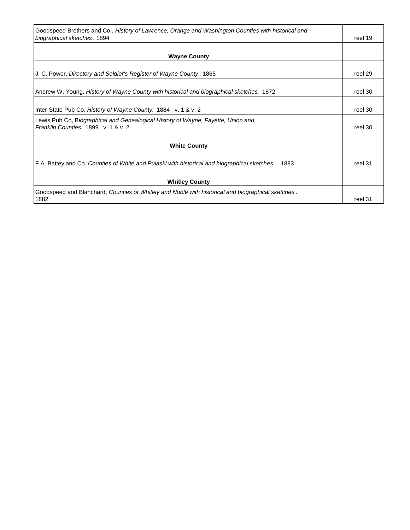| Goodspeed Brothers and Co., History of Lawrence, Orange and Washington Counties with historical and  |         |
|------------------------------------------------------------------------------------------------------|---------|
| biographical sketches. 1894                                                                          | reel 19 |
|                                                                                                      |         |
| <b>Wayne County</b>                                                                                  |         |
|                                                                                                      |         |
| J. C. Power, Directory and Soldier's Register of Wayne County. 1865                                  | reel 29 |
|                                                                                                      |         |
| Andrew W. Young, History of Wayne County with historical and biographical sketches. 1872             | reel 30 |
|                                                                                                      |         |
| Inter-State Pub Co, History of Wayne County. 1884 v. 1 & v. 2                                        | reel 30 |
| Lewis Pub Co, Biographical and Genealogical History of Wayne, Fayette, Union and                     |         |
| Franklin Counties, 1899 v. 1 & v. 2                                                                  | reel 30 |
|                                                                                                      |         |
| <b>White County</b>                                                                                  |         |
|                                                                                                      |         |
| F.A. Battey and Co. Counties of White and Pulaski with historical and biographical sketches.<br>1883 | reel 31 |
|                                                                                                      |         |
| <b>Whitley County</b>                                                                                |         |
| Goodspeed and Blanchard, Counties of Whitley and Noble with historical and biographical sketches.    |         |
| 1882                                                                                                 | reel 31 |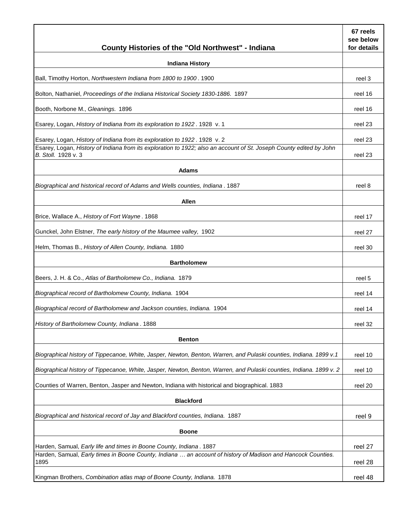| County Histories of the "Old Northwest" - Indiana                                                                                          | 67 reels<br>see below<br>for details |
|--------------------------------------------------------------------------------------------------------------------------------------------|--------------------------------------|
| <b>Indiana History</b>                                                                                                                     |                                      |
| Ball, Timothy Horton, Northwestern Indiana from 1800 to 1900. 1900                                                                         | reel 3                               |
| Bolton, Nathaniel, Proceedings of the Indiana Historical Society 1830-1886. 1897                                                           | reel 16                              |
| Booth, Norbone M., Gleanings. 1896                                                                                                         | reel 16                              |
| Esarey, Logan, History of Indiana from its exploration to 1922. 1928 v. 1                                                                  | reel 23                              |
| Esarey, Logan, History of Indiana from its exploration to 1922. 1928 v. 2                                                                  | reel 23                              |
| Esarey, Logan, History of Indiana from its exploration to 1922; also an account of St. Joseph County edited by John<br>B. Stoll. 1928 v. 3 | reel 23                              |
| <b>Adams</b>                                                                                                                               |                                      |
| Biographical and historical record of Adams and Wells counties, Indiana. 1887                                                              | reel 8                               |
| <b>Allen</b>                                                                                                                               |                                      |
| Brice, Wallace A., History of Fort Wayne. 1868                                                                                             | reel 17                              |
| Gunckel, John Elstner, The early history of the Maumee valley, 1902                                                                        | reel 27                              |
| Helm, Thomas B., History of Allen County, Indiana. 1880                                                                                    | reel 30                              |
| <b>Bartholomew</b>                                                                                                                         |                                      |
| Beers, J. H. & Co., Atlas of Bartholomew Co., Indiana. 1879                                                                                | reel 5                               |
| Biographical record of Bartholomew County, Indiana. 1904                                                                                   | reel 14                              |
| Biographical record of Bartholomew and Jackson counties, Indiana. 1904                                                                     | reel 14                              |
| History of Bartholomew County, Indiana, 1888                                                                                               | reel 32                              |
| <b>Benton</b>                                                                                                                              |                                      |
| Biographical history of Tippecanoe, White, Jasper, Newton, Benton, Warren, and Pulaski counties, Indiana. 1899 v.1                         | reel 10                              |
| Biographical history of Tippecanoe, White, Jasper, Newton, Benton, Warren, and Pulaski counties, Indiana. 1899 v. 2                        | reel 10                              |
| Counties of Warren, Benton, Jasper and Newton, Indiana with historical and biographical. 1883                                              | reel 20                              |
| <b>Blackford</b>                                                                                                                           |                                      |
| Biographical and historical record of Jay and Blackford counties, Indiana. 1887                                                            | reel 9                               |
| <b>Boone</b>                                                                                                                               |                                      |
| Harden, Samual, Early life and times in Boone County, Indiana. 1887                                                                        | reel 27                              |
| Harden, Samual, Early times in Boone County, Indiana  an account of history of Madison and Hancock Counties.<br>1895                       | reel 28                              |
| Kingman Brothers, Combination atlas map of Boone County, Indiana. 1878                                                                     | reel 48                              |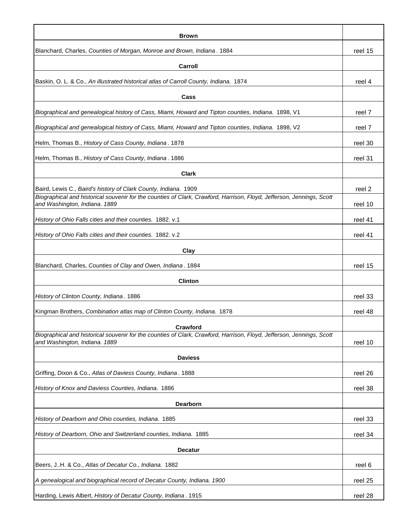| <b>Brown</b>                                                                                                                                           |         |
|--------------------------------------------------------------------------------------------------------------------------------------------------------|---------|
| Blanchard, Charles, Counties of Morgan, Monroe and Brown, Indiana. 1884                                                                                | reel 15 |
| Carroll                                                                                                                                                |         |
| Baskin, O. L. & Co., An illustrated historical atlas of Carroll County, Indiana. 1874                                                                  | reel 4  |
| Cass                                                                                                                                                   |         |
| Biographical and genealogical history of Cass, Miami, Howard and Tipton counties, Indiana. 1898, V1                                                    | reel 7  |
| Biographical and genealogical history of Cass, Miami, Howard and Tipton counties, Indiana. 1898, V2                                                    | reel 7  |
| Helm, Thomas B., History of Cass County, Indiana. 1878                                                                                                 | reel 30 |
| Helm, Thomas B., History of Cass County, Indiana. 1886                                                                                                 | reel 31 |
| <b>Clark</b>                                                                                                                                           |         |
| Baird, Lewis C., Baird's history of Clark County, Indiana. 1909                                                                                        | reel 2  |
| Biographical and historical souvenir for the counties of Clark, Crawford, Harrison, Floyd, Jefferson, Jennings, Scott<br>and Washington, Indiana. 1889 | reel 10 |
| History of Ohio Falls cities and their counties. 1882. v.1                                                                                             | reel 41 |
| History of Ohio Falls cities and their counties. 1882. v.2                                                                                             | reel 41 |
| Clay                                                                                                                                                   |         |
| Blanchard, Charles, Counties of Clay and Owen, Indiana. 1884                                                                                           | reel 15 |
| <b>Clinton</b>                                                                                                                                         |         |
| History of Clinton County, Indiana. 1886                                                                                                               | reel 33 |
| Kingman Brothers, Combination atlas map of Clinton County, Indiana. 1878                                                                               | reel 48 |
| Crawford                                                                                                                                               |         |
| Biographical and historical souvenir for the counties of Clark, Crawford, Harrison, Floyd, Jefferson, Jennings, Scott<br>and Washington, Indiana. 1889 | reel 10 |
| <b>Daviess</b>                                                                                                                                         |         |
| Griffing, Dixon & Co., Atlas of Daviess County, Indiana. 1888                                                                                          | reel 26 |
| History of Knox and Daviess Counties, Indiana. 1886                                                                                                    | reel 38 |
| <b>Dearborn</b>                                                                                                                                        |         |
| History of Dearborn and Ohio counties, Indiana. 1885                                                                                                   | reel 33 |
| History of Dearborn, Ohio and Switzerland counties, Indiana. 1885                                                                                      | reel 34 |
| <b>Decatur</b>                                                                                                                                         |         |
| Beers, JH. & Co., Atlas of Decatur Co., Indiana. 1882                                                                                                  | reel 6  |
| A genealogical and biographical record of Decatur County, Indiana. 1900                                                                                | reel 25 |
| Harding, Lewis Albert, History of Decatur County, Indiana. 1915                                                                                        | reel 28 |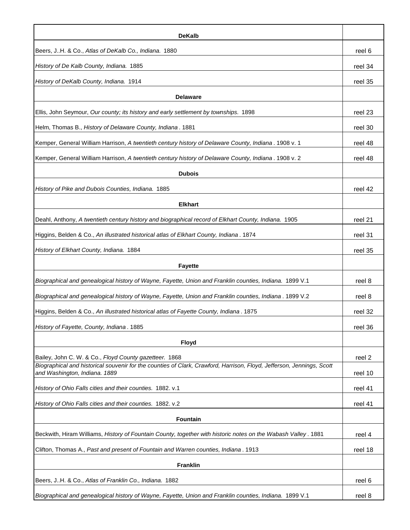| <b>DeKalb</b>                                                                                                                                          |         |
|--------------------------------------------------------------------------------------------------------------------------------------------------------|---------|
| Beers, JH. & Co., Atlas of DeKalb Co., Indiana. 1880                                                                                                   | reel 6  |
| History of De Kalb County, Indiana. 1885                                                                                                               | reel 34 |
| History of DeKalb County, Indiana. 1914                                                                                                                | reel 35 |
| <b>Delaware</b>                                                                                                                                        |         |
| Ellis, John Seymour, Our county; its history and early settlement by townships. 1898                                                                   | reel 23 |
| Helm, Thomas B., History of Delaware County, Indiana. 1881                                                                                             | reel 30 |
| Kemper, General William Harrison, A twentieth century history of Delaware County, Indiana . 1908 v. 1                                                  | reel 48 |
| Kemper, General William Harrison, A twentieth century history of Delaware County, Indiana . 1908 v. 2                                                  | reel 48 |
| <b>Dubois</b>                                                                                                                                          |         |
| History of Pike and Dubois Counties, Indiana. 1885                                                                                                     | reel 42 |
| <b>Elkhart</b>                                                                                                                                         |         |
| Deahl, Anthony, A twentieth century history and biographical record of Elkhart County, Indiana. 1905                                                   | reel 21 |
| Higgins, Belden & Co., An illustrated historical atlas of Elkhart County, Indiana. 1874                                                                | reel 31 |
| History of Elkhart County, Indiana. 1884                                                                                                               | reel 35 |
| <b>Fayette</b>                                                                                                                                         |         |
| Biographical and genealogical history of Wayne, Fayette, Union and Franklin counties, Indiana. 1899 V.1                                                | reel 8  |
| Biographical and genealogical history of Wayne, Fayette, Union and Franklin counties, Indiana . 1899 V.2                                               | reel 8  |
| Higgins, Belden & Co., An illustrated historical atlas of Fayette County, Indiana. 1875                                                                | reel 32 |
| History of Fayette, County, Indiana. 1885                                                                                                              | reel 36 |
| <b>Floyd</b>                                                                                                                                           |         |
| Bailey, John C. W. & Co., Floyd County gazetteer. 1868                                                                                                 | reel 2  |
| Biographical and historical souvenir for the counties of Clark, Crawford, Harrison, Floyd, Jefferson, Jennings, Scott<br>and Washington, Indiana. 1889 | reel 10 |
| History of Ohio Falls cities and their counties. 1882. v.1                                                                                             | reel 41 |
| History of Ohio Falls cities and their counties. 1882. v.2                                                                                             | reel 41 |
| <b>Fountain</b>                                                                                                                                        |         |
| Beckwith, Hiram Williams, History of Fountain County, together with historic notes on the Wabash Valley. 1881                                          | reel 4  |
| Clifton, Thomas A., Past and present of Fountain and Warren counties, Indiana. 1913                                                                    | reel 18 |
| <b>Franklin</b>                                                                                                                                        |         |
| Beers, JH. & Co., Atlas of Franklin Co., Indiana. 1882                                                                                                 | reel 6  |
| Biographical and genealogical history of Wayne, Fayette, Union and Franklin counties, Indiana. 1899 V.1                                                | reel 8  |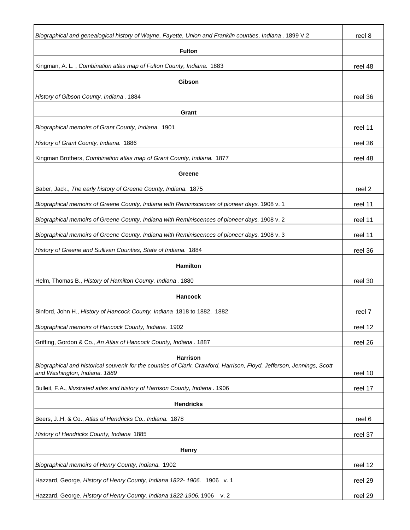| Biographical and genealogical history of Wayne, Fayette, Union and Franklin counties, Indiana . 1899 V.2                                               | reel 8  |
|--------------------------------------------------------------------------------------------------------------------------------------------------------|---------|
| <b>Fulton</b>                                                                                                                                          |         |
| Kingman, A. L., Combination atlas map of Fulton County, Indiana. 1883                                                                                  | reel 48 |
| Gibson                                                                                                                                                 |         |
| History of Gibson County, Indiana. 1884                                                                                                                | reel 36 |
| Grant                                                                                                                                                  |         |
| Biographical memoirs of Grant County, Indiana. 1901                                                                                                    | reel 11 |
| History of Grant County, Indiana. 1886                                                                                                                 | reel 36 |
| Kingman Brothers, Combination atlas map of Grant County, Indiana. 1877                                                                                 | reel 48 |
| Greene                                                                                                                                                 |         |
| Baber, Jack., The early history of Greene County, Indiana. 1875                                                                                        | reel 2  |
| Biographical memoirs of Greene County, Indiana with Reminiscences of pioneer days. 1908 v. 1                                                           | reel 11 |
| Biographical memoirs of Greene County, Indiana with Reminiscences of pioneer days. 1908 v. 2                                                           | reel 11 |
| Biographical memoirs of Greene County, Indiana with Reminiscences of pioneer days. 1908 v. 3                                                           | reel 11 |
| History of Greene and Sullivan Counties, State of Indiana. 1884                                                                                        | reel 36 |
| <b>Hamilton</b>                                                                                                                                        |         |
| Helm, Thomas B., History of Hamilton County, Indiana. 1880                                                                                             | reel 30 |
| <b>Hancock</b>                                                                                                                                         |         |
| Binford, John H., History of Hancock County, Indiana 1818 to 1882. 1882                                                                                | reel 7  |
| Biographical memoirs of Hancock County, Indiana. 1902                                                                                                  | reel 12 |
| Griffing, Gordon & Co., An Atlas of Hancock County, Indiana. 1887                                                                                      | reel 26 |
| Harrison                                                                                                                                               |         |
| Biographical and historical souvenir for the counties of Clark, Crawford, Harrison, Floyd, Jefferson, Jennings, Scott<br>and Washington, Indiana. 1889 | reel 10 |
| Bulleit, F.A., Illustrated atlas and history of Harrison County, Indiana. 1906                                                                         | reel 17 |
| <b>Hendricks</b>                                                                                                                                       |         |
| Beers, JH. & Co., Atlas of Hendricks Co., Indiana. 1878                                                                                                | reel 6  |
| History of Hendricks County, Indiana 1885                                                                                                              | reel 37 |
| <b>Henry</b>                                                                                                                                           |         |
| Biographical memoirs of Henry County, Indiana. 1902                                                                                                    | reel 12 |
| Hazzard, George, History of Henry County, Indiana 1822- 1906. 1906 v. 1                                                                                | reel 29 |
| Hazzard, George, History of Henry County, Indiana 1822-1906. 1906 v. 2                                                                                 | reel 29 |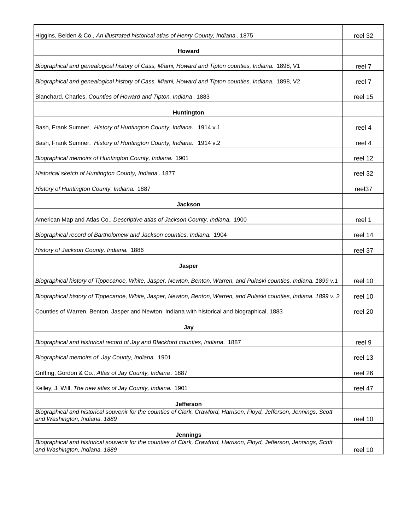| Higgins, Belden & Co., An illustrated historical atlas of Henry County, Indiana. 1875                                                                  | reel 32 |
|--------------------------------------------------------------------------------------------------------------------------------------------------------|---------|
|                                                                                                                                                        |         |
| Howard                                                                                                                                                 |         |
| Biographical and genealogical history of Cass, Miami, Howard and Tipton counties, Indiana. 1898, V1                                                    | reel 7  |
| Biographical and genealogical history of Cass, Miami, Howard and Tipton counties, Indiana. 1898, V2                                                    | reel 7  |
| Blanchard, Charles, Counties of Howard and Tipton, Indiana. 1883                                                                                       | reel 15 |
| Huntington                                                                                                                                             |         |
| Bash, Frank Sumner, History of Huntington County, Indiana. 1914 v.1                                                                                    | reel 4  |
| Bash, Frank Sumner, History of Huntington County, Indiana. 1914 v.2                                                                                    | reel 4  |
| Biographical memoirs of Huntington County, Indiana. 1901                                                                                               | reel 12 |
| Historical sketch of Huntington County, Indiana. 1877                                                                                                  | reel 32 |
| History of Huntington County, Indiana. 1887                                                                                                            | reel37  |
| <b>Jackson</b>                                                                                                                                         |         |
| American Map and Atlas Co., Descriptive atlas of Jackson County, Indiana. 1900                                                                         | reel 1  |
| Biographical record of Bartholomew and Jackson counties, Indiana. 1904                                                                                 | reel 14 |
| History of Jackson County, Indiana. 1886                                                                                                               | reel 37 |
| <b>Jasper</b>                                                                                                                                          |         |
| Biographical history of Tippecanoe, White, Jasper, Newton, Benton, Warren, and Pulaski counties, Indiana. 1899 v.1                                     | reel 10 |
| Biographical history of Tippecanoe, White, Jasper, Newton, Benton, Warren, and Pulaski counties, Indiana. 1899 v. 2                                    | reel 10 |
| Counties of Warren, Benton, Jasper and Newton, Indiana with historical and biographical. 1883                                                          | reel 20 |
| Jay                                                                                                                                                    |         |
| Biographical and historical record of Jay and Blackford counties, Indiana. 1887                                                                        | reel 9  |
| Biographical memoirs of Jay County, Indiana. 1901                                                                                                      | reel 13 |
| Griffing, Gordon & Co., Atlas of Jay County, Indiana. 1887                                                                                             | reel 26 |
| Kelley, J. Will, The new atlas of Jay County, Indiana. 1901                                                                                            | reel 47 |
| <b>Jefferson</b>                                                                                                                                       |         |
| Biographical and historical souvenir for the counties of Clark, Crawford, Harrison, Floyd, Jefferson, Jennings, Scott<br>and Washington, Indiana. 1889 | reel 10 |
|                                                                                                                                                        |         |
| <b>Jennings</b><br>Biographical and historical souvenir for the counties of Clark, Crawford, Harrison, Floyd, Jefferson, Jennings, Scott               |         |
| and Washington, Indiana. 1889                                                                                                                          | reel 10 |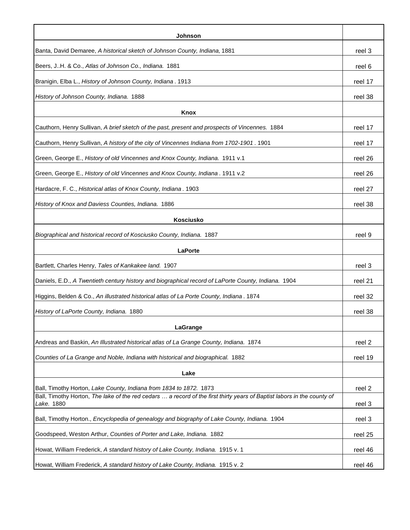| Johnson                                                                                                                                                                                       |         |
|-----------------------------------------------------------------------------------------------------------------------------------------------------------------------------------------------|---------|
| Banta, David Demaree, A historical sketch of Johnson County, Indiana, 1881                                                                                                                    | reel 3  |
| Beers, JH. & Co., Atlas of Johnson Co., Indiana. 1881                                                                                                                                         | reel 6  |
| Branigin, Elba L., History of Johnson County, Indiana. 1913                                                                                                                                   | reel 17 |
| History of Johnson County, Indiana. 1888                                                                                                                                                      | reel 38 |
| <b>Knox</b>                                                                                                                                                                                   |         |
| Cauthorn, Henry Sullivan, A brief sketch of the past, present and prospects of Vincennes. 1884                                                                                                | reel 17 |
| Cauthorn, Henry Sullivan, A history of the city of Vincennes Indiana from 1702-1901. 1901                                                                                                     | reel 17 |
| Green, George E., History of old Vincennes and Knox County, Indiana. 1911 v.1                                                                                                                 | reel 26 |
| Green, George E., History of old Vincennes and Knox County, Indiana. 1911 v.2                                                                                                                 | reel 26 |
| Hardacre, F. C., Historical atlas of Knox County, Indiana. 1903                                                                                                                               | reel 27 |
| History of Knox and Daviess Counties, Indiana. 1886                                                                                                                                           | reel 38 |
| <b>Kosciusko</b>                                                                                                                                                                              |         |
| Biographical and historical record of Kosciusko County, Indiana. 1887                                                                                                                         | reel 9  |
| <b>LaPorte</b>                                                                                                                                                                                |         |
| Bartlett, Charles Henry, Tales of Kankakee land. 1907                                                                                                                                         | reel 3  |
| Daniels, E.D., A Twentieth century history and biographical record of LaPorte County, Indiana. 1904                                                                                           | reel 21 |
| Higgins, Belden & Co., An illustrated historical atlas of La Porte County, Indiana. 1874                                                                                                      | reel 32 |
| History of LaPorte County, Indiana. 1880                                                                                                                                                      | reel 38 |
|                                                                                                                                                                                               |         |
| LaGrange                                                                                                                                                                                      |         |
| Andreas and Baskin, An Illustrated historical atlas of La Grange County, Indiana. 1874                                                                                                        | reel 2  |
| Counties of La Grange and Noble, Indiana with historical and biographical. 1882                                                                                                               | reel 19 |
| Lake                                                                                                                                                                                          |         |
| Ball, Timothy Horton, Lake County, Indiana from 1834 to 1872. 1873<br>Ball, Timothy Horton, The lake of the red cedars  a record of the first thirty years of Baptist labors in the county of | reel 2  |
| Lake. 1880                                                                                                                                                                                    | reel 3  |
| Ball, Timothy Horton., Encyclopedia of genealogy and biography of Lake County, Indiana. 1904                                                                                                  | reel 3  |
| Goodspeed, Weston Arthur, Counties of Porter and Lake, Indiana. 1882                                                                                                                          | reel 25 |
| Howat, William Frederick, A standard history of Lake County, Indiana. 1915 v. 1                                                                                                               | reel 46 |
| Howat, William Frederick, A standard history of Lake County, Indiana. 1915 v. 2                                                                                                               | reel 46 |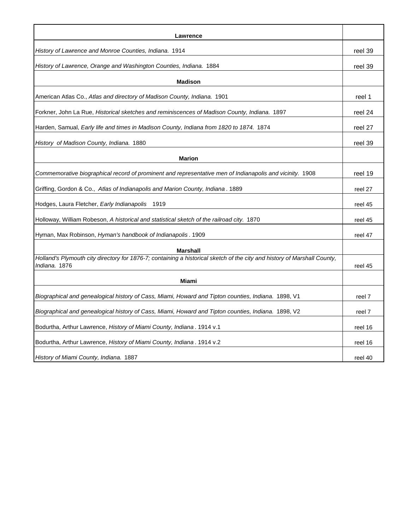| <b>Lawrence</b>                                                                                                                                  |         |
|--------------------------------------------------------------------------------------------------------------------------------------------------|---------|
| History of Lawrence and Monroe Counties, Indiana. 1914                                                                                           | reel 39 |
| History of Lawrence, Orange and Washington Counties, Indiana. 1884                                                                               | reel 39 |
| <b>Madison</b>                                                                                                                                   |         |
| American Atlas Co., Atlas and directory of Madison County, Indiana. 1901                                                                         | reel 1  |
| Forkner, John La Rue, Historical sketches and reminiscences of Madison County, Indiana. 1897                                                     | reel 24 |
| Harden, Samual, <i>Early life and times in Madison County, Indiana from 1820 to 1874.</i> 1874                                                   | reel 27 |
| History of Madison County, Indiana. 1880                                                                                                         | reel 39 |
| <b>Marion</b>                                                                                                                                    |         |
| Commemorative biographical record of prominent and representative men of Indianapolis and vicinity. 1908                                         | reel 19 |
| Griffing, Gordon & Co., Atlas of Indianapolis and Marion County, Indiana. 1889                                                                   | reel 27 |
| Hodges, Laura Fletcher, Early Indianapolis<br>1919                                                                                               | reel 45 |
| Holloway, William Robeson, A historical and statistical sketch of the railroad city. 1870                                                        | reel 45 |
| Hyman, Max Robinson, <i>Hyman's handbook of Indianapolis</i> . 1909                                                                              | reel 47 |
| <b>Marshall</b>                                                                                                                                  |         |
| Holland's Plymouth city directory for 1876-7; containing a historical sketch of the city and history of Marshall County,<br><i>Indiana.</i> 1876 | reel 45 |
| Miami                                                                                                                                            |         |
| Biographical and genealogical history of Cass, Miami, Howard and Tipton counties, Indiana. 1898, V1                                              | reel 7  |
| Biographical and genealogical history of Cass, Miami, Howard and Tipton counties, Indiana. 1898, V2                                              | reel 7  |
| Bodurtha, Arthur Lawrence, History of Miami County, Indiana. 1914 v.1                                                                            | reel 16 |
| Bodurtha, Arthur Lawrence, History of Miami County, Indiana. 1914 v.2                                                                            | reel 16 |
| History of Miami County, Indiana. 1887                                                                                                           | reel 40 |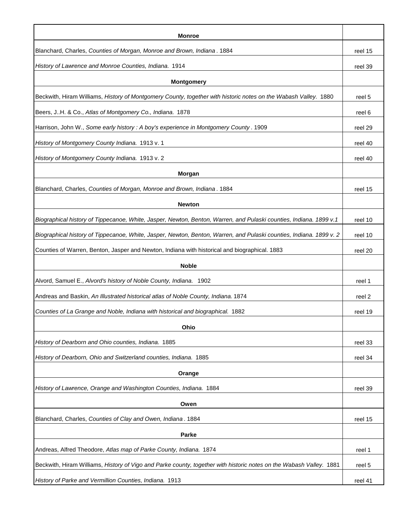| Monroe                                                                                                              |         |
|---------------------------------------------------------------------------------------------------------------------|---------|
| Blanchard, Charles, Counties of Morgan, Monroe and Brown, Indiana. 1884                                             | reel 15 |
| History of Lawrence and Monroe Counties, Indiana. 1914                                                              | reel 39 |
| <b>Montgomery</b>                                                                                                   |         |
| Beckwith, Hiram Williams, History of Montgomery County, together with historic notes on the Wabash Valley. 1880     | reel 5  |
| Beers, JH. & Co., Atlas of Montgomery Co., Indiana. 1878                                                            | reel 6  |
| Harrison, John W., Some early history : A boy's experience in Montgomery County. 1909                               | reel 29 |
| History of Montgomery County Indiana. 1913 v. 1                                                                     | reel 40 |
| History of Montgomery County Indiana. 1913 v. 2                                                                     | reel 40 |
| <b>Morgan</b>                                                                                                       |         |
| Blanchard, Charles, Counties of Morgan, Monroe and Brown, Indiana. 1884                                             | reel 15 |
| <b>Newton</b>                                                                                                       |         |
| Biographical history of Tippecanoe, White, Jasper, Newton, Benton, Warren, and Pulaski counties, Indiana. 1899 v.1  | reel 10 |
| Biographical history of Tippecanoe, White, Jasper, Newton, Benton, Warren, and Pulaski counties, Indiana. 1899 v. 2 | reel 10 |
| Counties of Warren, Benton, Jasper and Newton, Indiana with historical and biographical. 1883                       | reel 20 |
| <b>Noble</b>                                                                                                        |         |
| Alvord, Samuel E., Alvord's history of Noble County, Indiana. 1902                                                  | reel 1  |
| Andreas and Baskin, An Illustrated historical atlas of Noble County, Indiana. 1874                                  | reel 2  |
| Counties of La Grange and Noble, Indiana with historical and biographical. 1882                                     | reel 19 |
| Ohio                                                                                                                |         |
| History of Dearborn and Ohio counties, Indiana. 1885                                                                | reel 33 |
| History of Dearborn, Ohio and Switzerland counties, Indiana. 1885                                                   | reel 34 |
| Orange                                                                                                              |         |
| History of Lawrence, Orange and Washington Counties, Indiana. 1884                                                  | reel 39 |
| Owen                                                                                                                |         |
| Blanchard, Charles, Counties of Clay and Owen, Indiana. 1884                                                        | reel 15 |
| Parke                                                                                                               |         |
| Andreas, Alfred Theodore, Atlas map of Parke County, Indiana. 1874                                                  | reel 1  |
| Beckwith, Hiram Williams, History of Vigo and Parke county, together with historic notes on the Wabash Valley. 1881 | reel 5  |
| History of Parke and Vermillion Counties, Indiana. 1913                                                             | reel 41 |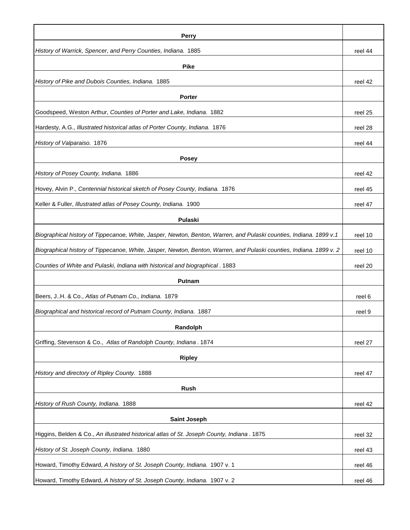| <b>Perry</b>                                                                                                        |         |
|---------------------------------------------------------------------------------------------------------------------|---------|
| History of Warrick, Spencer, and Perry Counties, Indiana. 1885                                                      | reel 44 |
| <b>Pike</b>                                                                                                         |         |
| History of Pike and Dubois Counties, Indiana. 1885                                                                  | reel 42 |
| <b>Porter</b>                                                                                                       |         |
| Goodspeed, Weston Arthur, Counties of Porter and Lake, Indiana. 1882                                                | reel 25 |
| Hardesty, A.G., Illustrated historical atlas of Porter County, Indiana. 1876                                        | reel 28 |
| History of Valparaiso. 1876                                                                                         | reel 44 |
| <b>Posey</b>                                                                                                        |         |
| History of Posey County, Indiana. 1886                                                                              | reel 42 |
| Hovey, Alvin P., Centennial historical sketch of Posey County, Indiana. 1876                                        | reel 45 |
| Keller & Fuller, Illustrated atlas of Posey County, Indiana. 1900                                                   | reel 47 |
| Pulaski                                                                                                             |         |
| Biographical history of Tippecanoe, White, Jasper, Newton, Benton, Warren, and Pulaski counties, Indiana. 1899 v.1  | reel 10 |
| Biographical history of Tippecanoe, White, Jasper, Newton, Benton, Warren, and Pulaski counties, Indiana. 1899 v. 2 | reel 10 |
| Counties of White and Pulaski, Indiana with historical and biographical. 1883                                       | reel 20 |
| <b>Putnam</b>                                                                                                       |         |
| Beers, JH. & Co., Atlas of Putnam Co., Indiana. 1879                                                                | reel 6  |
| Biographical and historical record of Putnam County, Indiana. 1887                                                  | reel 9  |
|                                                                                                                     |         |
| Randolph                                                                                                            |         |
| Griffing, Stevenson & Co., Atlas of Randolph County, Indiana. 1874                                                  | reel 27 |
| <b>Ripley</b>                                                                                                       |         |
| History and directory of Ripley County. 1888                                                                        | reel 47 |
| <b>Rush</b>                                                                                                         |         |
| History of Rush County, Indiana. 1888                                                                               | reel 42 |
| <b>Saint Joseph</b>                                                                                                 |         |
| Higgins, Belden & Co., An illustrated historical atlas of St. Joseph County, Indiana. 1875                          | reel 32 |
| History of St. Joseph County, Indiana. 1880                                                                         | reel 43 |
| Howard, Timothy Edward, A history of St. Joseph County, Indiana. 1907 v. 1                                          | reel 46 |
| Howard, Timothy Edward, A history of St. Joseph County, Indiana. 1907 v. 2                                          | reel 46 |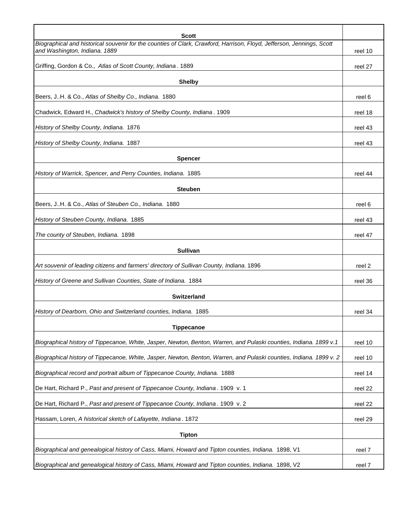| Scott                                                                                                                                                  |         |
|--------------------------------------------------------------------------------------------------------------------------------------------------------|---------|
| Biographical and historical souvenir for the counties of Clark, Crawford, Harrison, Floyd, Jefferson, Jennings, Scott<br>and Washington, Indiana. 1889 | reel 10 |
| Griffing, Gordon & Co., Atlas of Scott County, Indiana. 1889                                                                                           | reel 27 |
| <b>Shelby</b>                                                                                                                                          |         |
| Beers, JH. & Co., Atlas of Shelby Co., Indiana. 1880                                                                                                   | reel 6  |
| Chadwick, Edward H., Chadwick's history of Shelby County, Indiana. 1909                                                                                |         |
|                                                                                                                                                        | reel 18 |
| History of Shelby County, Indiana. 1876                                                                                                                | reel 43 |
| History of Shelby County, Indiana. 1887                                                                                                                | reel 43 |
| <b>Spencer</b>                                                                                                                                         |         |
| History of Warrick, Spencer, and Perry Counties, Indiana. 1885                                                                                         | reel 44 |
| <b>Steuben</b>                                                                                                                                         |         |
| Beers, JH. & Co., Atlas of Steuben Co., Indiana. 1880                                                                                                  | reel 6  |
| History of Steuben County, Indiana. 1885                                                                                                               | reel 43 |
| The county of Steuben, Indiana. 1898                                                                                                                   | reel 47 |
| <b>Sullivan</b>                                                                                                                                        |         |
| Art souvenir of leading citizens and farmers' directory of Sullivan County, Indiana. 1896                                                              | reel 2  |
| History of Greene and Sullivan Counties, State of Indiana. 1884                                                                                        | reel 36 |
| <b>Switzerland</b>                                                                                                                                     |         |
| History of Dearborn, Ohio and Switzerland counties, Indiana. 1885                                                                                      | reel 34 |
| <b>Tippecanoe</b>                                                                                                                                      |         |
| Biographical history of Tippecanoe, White, Jasper, Newton, Benton, Warren, and Pulaski counties, Indiana. 1899 v.1                                     | reel 10 |
| Biographical history of Tippecanoe, White, Jasper, Newton, Benton, Warren, and Pulaski counties, Indiana. 1899 v. 2                                    | reel 10 |
| Biographical record and portrait album of Tippecanoe County, Indiana. 1888                                                                             | reel 14 |
| De Hart, Richard P., Past and present of Tippecanoe County, Indiana. 1909 v. 1                                                                         | reel 22 |
| De Hart, Richard P., Past and present of Tippecanoe County, Indiana. 1909 v. 2                                                                         | reel 22 |
| Hassam, Loren, A historical sketch of Lafayette, Indiana. 1872                                                                                         | reel 29 |
| <b>Tipton</b>                                                                                                                                          |         |
| Biographical and genealogical history of Cass, Miami, Howard and Tipton counties, Indiana. 1898, V1                                                    | reel 7  |
| Biographical and genealogical history of Cass, Miami, Howard and Tipton counties, Indiana. 1898, V2                                                    | reel 7  |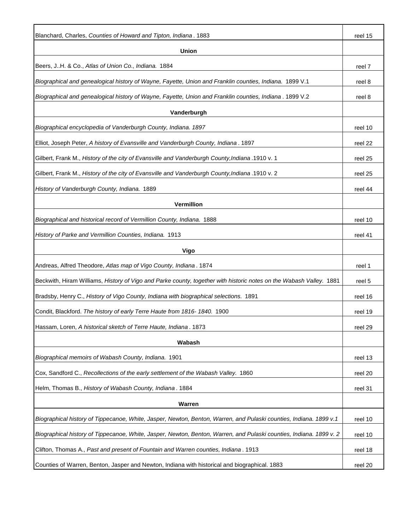| Blanchard, Charles, Counties of Howard and Tipton, Indiana. 1883                                                    | reel 15 |
|---------------------------------------------------------------------------------------------------------------------|---------|
| Union                                                                                                               |         |
| Beers, JH. & Co., Atlas of Union Co., Indiana. 1884                                                                 | reel 7  |
| Biographical and genealogical history of Wayne, Fayette, Union and Franklin counties, Indiana. 1899 V.1             | reel 8  |
| Biographical and genealogical history of Wayne, Fayette, Union and Franklin counties, Indiana . 1899 V.2            | reel 8  |
| Vanderburgh                                                                                                         |         |
| Biographical encyclopedia of Vanderburgh County, Indiana. 1897                                                      | reel 10 |
| Elliot, Joseph Peter, A history of Evansville and Vanderburgh County, Indiana. 1897                                 | reel 22 |
| Gilbert, Frank M., History of the city of Evansville and Vanderburgh County, Indiana .1910 v. 1                     | reel 25 |
| Gilbert, Frank M., History of the city of Evansville and Vanderburgh County, Indiana .1910 v. 2                     | reel 25 |
| History of Vanderburgh County, Indiana. 1889                                                                        | reel 44 |
| Vermillion                                                                                                          |         |
| Biographical and historical record of Vermillion County, Indiana. 1888                                              | reel 10 |
| History of Parke and Vermillion Counties, Indiana. 1913                                                             | reel 41 |
| Vigo                                                                                                                |         |
| Andreas, Alfred Theodore, Atlas map of Vigo County, Indiana. 1874                                                   | reel 1  |
| Beckwith, Hiram Williams, History of Vigo and Parke county, together with historic notes on the Wabash Valley. 1881 | reel 5  |
| Bradsby, Henry C., History of Vigo County, Indiana with biographical selections. 1891                               | reel 16 |
| Condit, Blackford. The history of early Terre Haute from 1816- 1840. 1900                                           | reel 19 |
| Hassam, Loren, A historical sketch of Terre Haute, Indiana. 1873                                                    | reel 29 |
|                                                                                                                     |         |
| Wabash                                                                                                              |         |
| Biographical memoirs of Wabash County, Indiana. 1901                                                                | reel 13 |
| Cox, Sandford C., Recollections of the early settlement of the Wabash Valley. 1860                                  | reel 20 |
| Helm, Thomas B., History of Wabash County, Indiana. 1884                                                            | reel 31 |
| Warren                                                                                                              |         |
| Biographical history of Tippecanoe, White, Jasper, Newton, Benton, Warren, and Pulaski counties, Indiana. 1899 v.1  | reel 10 |
| Biographical history of Tippecanoe, White, Jasper, Newton, Benton, Warren, and Pulaski counties, Indiana. 1899 v. 2 | reel 10 |
| Clifton, Thomas A., Past and present of Fountain and Warren counties, Indiana. 1913                                 | reel 18 |
| Counties of Warren, Benton, Jasper and Newton, Indiana with historical and biographical. 1883                       | reel 20 |